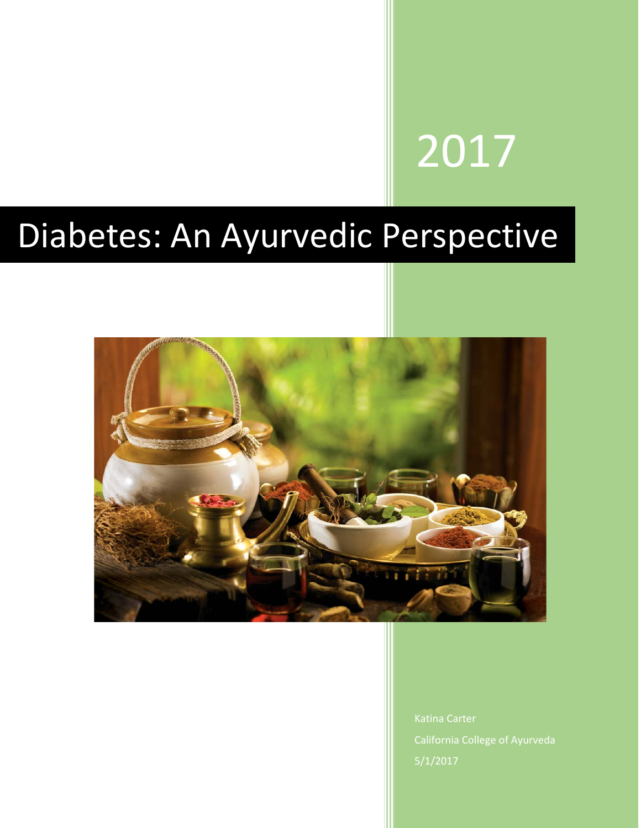# 2017

## Diabetes: An Ayurvedic Perspective



California College of Ayurveda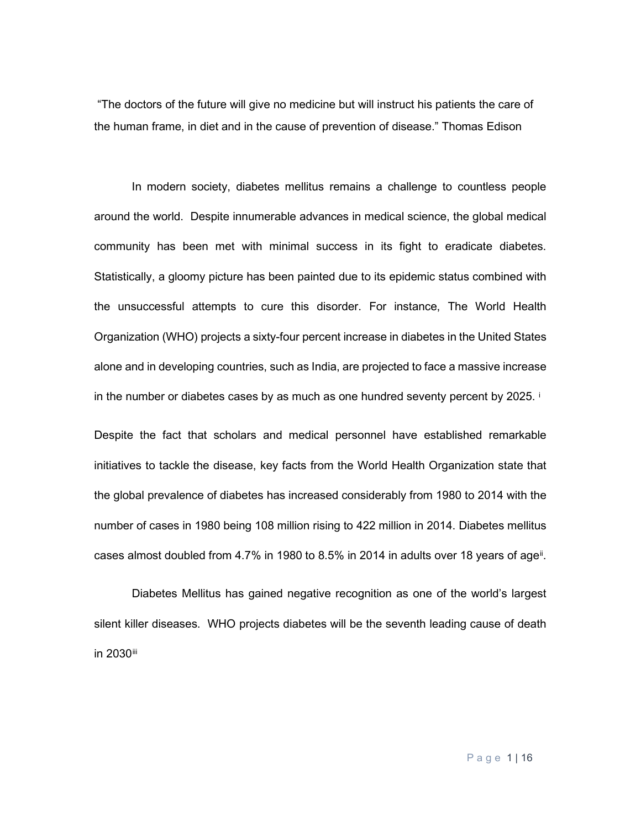"The doctors of the future will give no medicine but will instruct his patients the care of the human frame, in diet and in the cause of prevention of disease." Thomas Edison

In modern society, diabetes mellitus remains a challenge to countless people around the world. Despite innumerable advances in medical science, the global medical community has been met with minimal success in its fight to eradicate diabetes. Statistically, a gloomy picture has been painted due to its epidemic status combined with the unsuccessful attempts to cure this disorder. For instance, The World Health Organization (WHO) projects a sixty-four percent increase in diabetes in the United States alone and in developing countries, such as India, are projected to face a massive increase [i](#page-15-0)n the number or diabetes cases by as much as one hundred seventy percent by 2025.

Despite the fact that scholars and medical personnel have established remarkable initiatives to tackle the disease, key facts from the World Health Organization state that the global prevalence of diabetes has increased considerably from 1980 to 2014 with the number of cases in 1980 being 108 million rising to 422 million in 2014. Diabetes mellitus cases almost doubled from  $4.7\%$  in 1980 to  $8.5\%$  in 2014 in adults over 18 years of age<sup>[ii](#page-15-1)</sup>.

Diabetes Mellitus has gained negative recognition as one of the world's largest silent killer diseases. WHO projects diabetes will be the seventh leading cause of death in 2030[iii](#page-15-2)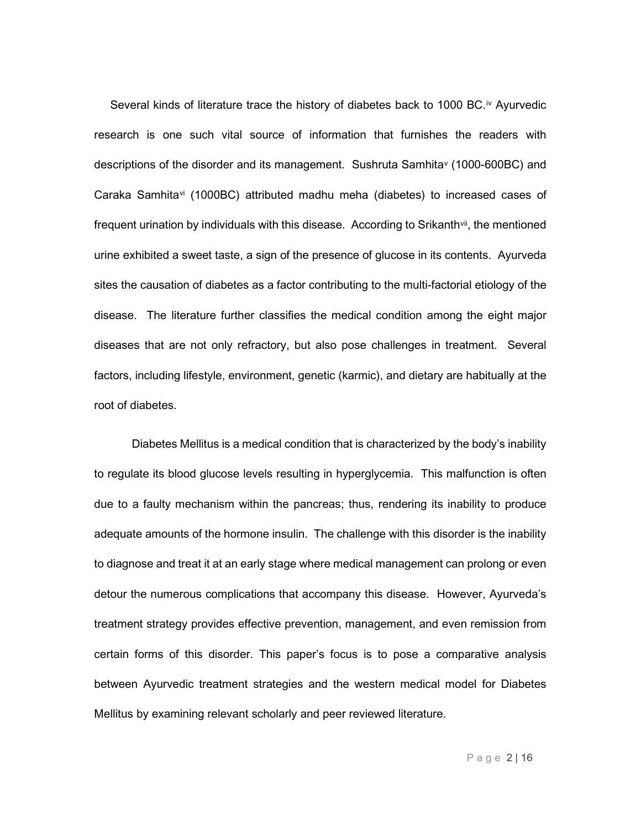Several kinds of literature trace the history of diabetes back to 1000 BC.<sup>[iv](#page-15-3)</sup> Ayurvedic research is one such vital source of information that furnishes the readers with descriptions of the disorder and its management. Sushruta Samhit[av](#page-15-4) (1000-600BC) and Caraka Samhita[vi](#page-15-5) (1000BC) attributed madhu meha (diabetes) to increased cases of frequent urination by individuals with this disease. According to Srikanth<sup>vii</sup>, the mentioned urine exhibited a sweet taste, a sign of the presence of glucose in its contents. Ayurveda sites the causation of diabetes as a factor contributing to the multi-factorial etiology of the disease. The literature further classifies the medical condition among the eight major diseases that are not only refractory, but also pose challenges in treatment. Several factors, including lifestyle, environment, genetic (karmic), and dietary are habitually at the root of diabetes.

Diabetes Mellitus is a medical condition that is characterized by the body's inability to regulate its blood glucose levels resulting in hyperglycemia. This malfunction is often due to a faulty mechanism within the pancreas; thus, rendering its inability to produce adequate amounts of the hormone insulin. The challenge with this disorder is the inability to diagnose and treat it at an early stage where medical management can prolong or even detour the numerous complications that accompany this disease. However, Ayurveda's treatment strategy provides effective prevention, management, and even remission from certain forms of this disorder. This paper's focus is to pose a comparative analysis between Ayurvedic treatment strategies and the western medical model for Diabetes Mellitus by examining relevant scholarly and peer reviewed literature.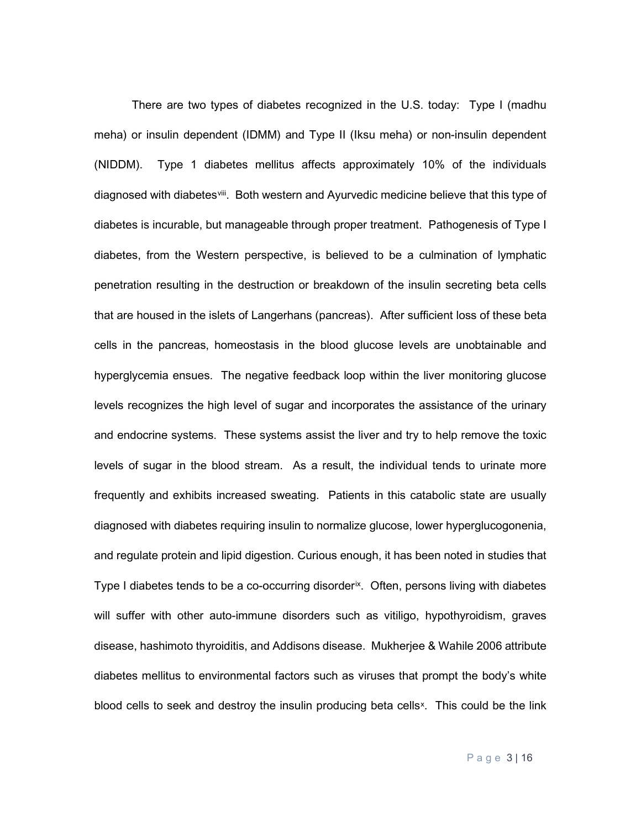There are two types of diabetes recognized in the U.S. today: Type I (madhu meha) or insulin dependent (IDMM) and Type II (Iksu meha) or non-insulin dependent (NIDDM). Type 1 diabetes mellitus affects approximately 10% of the individuals diagnosed with diabetes iii. Both western and Ayurvedic medicine believe that this type of diabetes is incurable, but manageable through proper treatment. Pathogenesis of Type I diabetes, from the Western perspective, is believed to be a culmination of lymphatic penetration resulting in the destruction or breakdown of the insulin secreting beta cells that are housed in the islets of Langerhans (pancreas). After sufficient loss of these beta cells in the pancreas, homeostasis in the blood glucose levels are unobtainable and hyperglycemia ensues. The negative feedback loop within the liver monitoring glucose levels recognizes the high level of sugar and incorporates the assistance of the urinary and endocrine systems. These systems assist the liver and try to help remove the toxic levels of sugar in the blood stream. As a result, the individual tends to urinate more frequently and exhibits increased sweating. Patients in this catabolic state are usually diagnosed with diabetes requiring insulin to normalize glucose, lower hyperglucogonenia, and regulate protein and lipid digestion. Curious enough, it has been noted in studies that Type I diabetes tends to be a co-occurring disorder<sup>ix</sup>. Often, persons living with diabetes will suffer with other auto-immune disorders such as vitiligo, hypothyroidism, graves disease, hashimoto thyroiditis, and Addisons disease. Mukherjee & Wahile 2006 attribute diabetes mellitus to environmental factors such as viruses that prompt the body's white blood cells to seek and destroy the insulin producing beta cells<sup>[x](#page-15-9)</sup>. This could be the link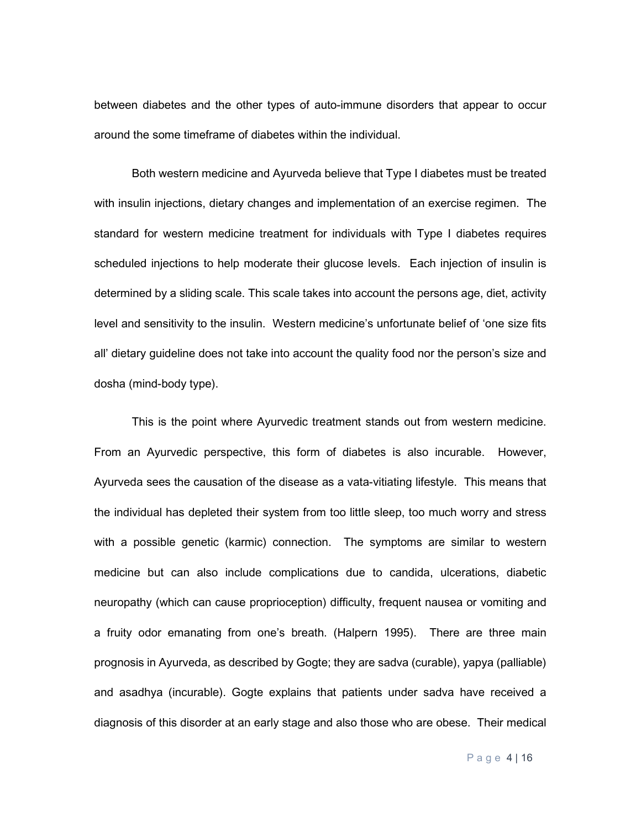between diabetes and the other types of auto-immune disorders that appear to occur around the some timeframe of diabetes within the individual.

Both western medicine and Ayurveda believe that Type I diabetes must be treated with insulin injections, dietary changes and implementation of an exercise regimen. The standard for western medicine treatment for individuals with Type I diabetes requires scheduled injections to help moderate their glucose levels. Each injection of insulin is determined by a sliding scale. This scale takes into account the persons age, diet, activity level and sensitivity to the insulin. Western medicine's unfortunate belief of 'one size fits all' dietary guideline does not take into account the quality food nor the person's size and dosha (mind-body type).

This is the point where Ayurvedic treatment stands out from western medicine. From an Ayurvedic perspective, this form of diabetes is also incurable. However, Ayurveda sees the causation of the disease as a vata-vitiating lifestyle. This means that the individual has depleted their system from too little sleep, too much worry and stress with a possible genetic (karmic) connection. The symptoms are similar to western medicine but can also include complications due to candida, ulcerations, diabetic neuropathy (which can cause proprioception) difficulty, frequent nausea or vomiting and a fruity odor emanating from one's breath. (Halpern 1995). There are three main prognosis in Ayurveda, as described by Gogte; they are sadva (curable), yapya (palliable) and asadhya (incurable). Gogte explains that patients under sadva have received a diagnosis of this disorder at an early stage and also those who are obese. Their medical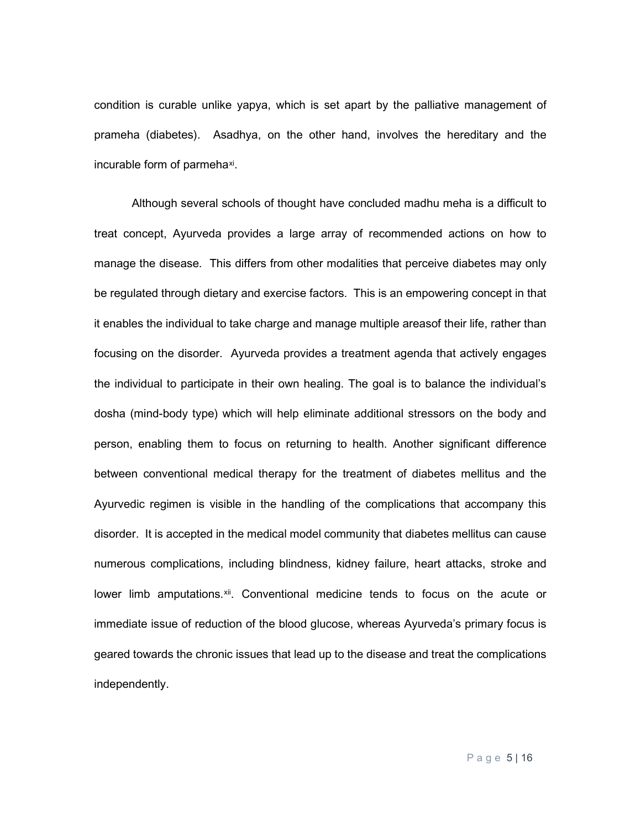condition is curable unlike yapya, which is set apart by the palliative management of prameha (diabetes). Asadhya, on the other hand, involves the hereditary and the incurable form of parmeha<sup>xi</sup>.

Although several schools of thought have concluded madhu meha is a difficult to treat concept, Ayurveda provides a large array of recommended actions on how to manage the disease. This differs from other modalities that perceive diabetes may only be regulated through dietary and exercise factors. This is an empowering concept in that it enables the individual to take charge and manage multiple areasof their life, rather than focusing on the disorder. Ayurveda provides a treatment agenda that actively engages the individual to participate in their own healing. The goal is to balance the individual's dosha (mind-body type) which will help eliminate additional stressors on the body and person, enabling them to focus on returning to health. Another significant difference between conventional medical therapy for the treatment of diabetes mellitus and the Ayurvedic regimen is visible in the handling of the complications that accompany this disorder. It is accepted in the medical model community that diabetes mellitus can cause numerous complications, including blindness, kidney failure, heart attacks, stroke and lower limb amputations.<sup>xii</sup>. Conventional medicine tends to focus on the acute or immediate issue of reduction of the blood glucose, whereas Ayurveda's primary focus is geared towards the chronic issues that lead up to the disease and treat the complications independently.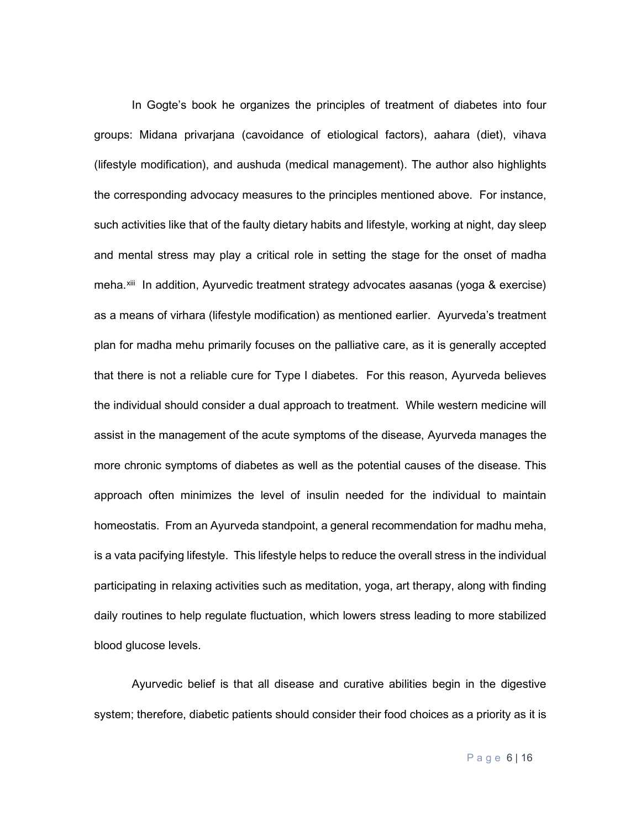In Gogte's book he organizes the principles of treatment of diabetes into four groups: Midana privarjana (cavoidance of etiological factors), aahara (diet), vihava (lifestyle modification), and aushuda (medical management). The author also highlights the corresponding advocacy measures to the principles mentioned above. For instance, such activities like that of the faulty dietary habits and lifestyle, working at night, day sleep and mental stress may play a critical role in setting the stage for the onset of madha meha.[xiii](#page-15-12) In addition, Ayurvedic treatment strategy advocates aasanas (yoga & exercise) as a means of virhara (lifestyle modification) as mentioned earlier. Ayurveda's treatment plan for madha mehu primarily focuses on the palliative care, as it is generally accepted that there is not a reliable cure for Type I diabetes. For this reason, Ayurveda believes the individual should consider a dual approach to treatment. While western medicine will assist in the management of the acute symptoms of the disease, Ayurveda manages the more chronic symptoms of diabetes as well as the potential causes of the disease. This approach often minimizes the level of insulin needed for the individual to maintain homeostatis. From an Ayurveda standpoint, a general recommendation for madhu meha, is a vata pacifying lifestyle. This lifestyle helps to reduce the overall stress in the individual participating in relaxing activities such as meditation, yoga, art therapy, along with finding daily routines to help regulate fluctuation, which lowers stress leading to more stabilized blood glucose levels.

Ayurvedic belief is that all disease and curative abilities begin in the digestive system; therefore, diabetic patients should consider their food choices as a priority as it is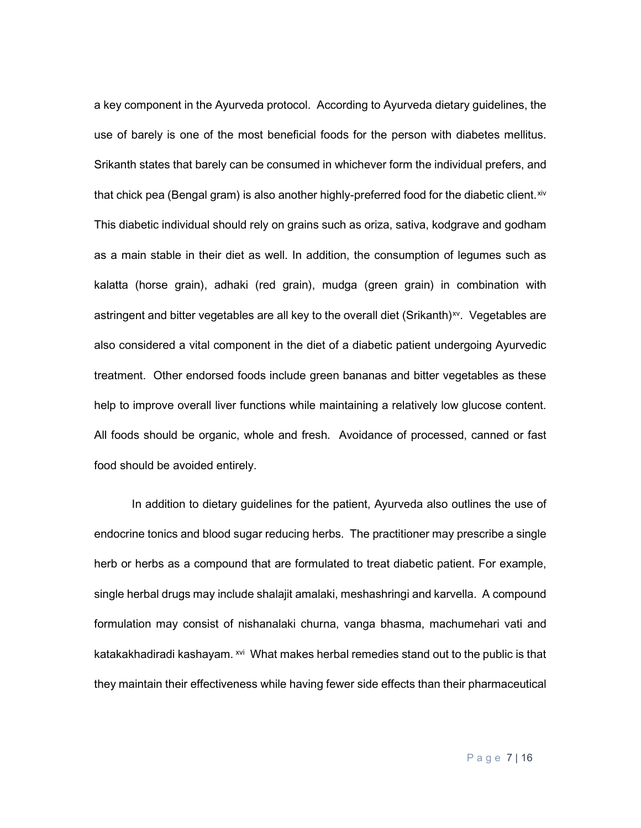a key component in the Ayurveda protocol. According to Ayurveda dietary guidelines, the use of barely is one of the most beneficial foods for the person with diabetes mellitus. Srikanth states that barely can be consumed in whichever form the individual prefers, and that chick pea (Bengal gram) is also another highly-preferred food for the diabetic client. [xiv](#page-16-0) This diabetic individual should rely on grains such as oriza, sativa, kodgrave and godham as a main stable in their diet as well. In addition, the consumption of legumes such as kalatta (horse grain), adhaki (red grain), mudga (green grain) in combination with astringent and bitter vegetables are all key to the overall diet (Srikanth) $x<sub>v</sub>$ . Vegetables are also considered a vital component in the diet of a diabetic patient undergoing Ayurvedic treatment. Other endorsed foods include green bananas and bitter vegetables as these help to improve overall liver functions while maintaining a relatively low glucose content. All foods should be organic, whole and fresh. Avoidance of processed, canned or fast food should be avoided entirely.

In addition to dietary guidelines for the patient, Ayurveda also outlines the use of endocrine tonics and blood sugar reducing herbs. The practitioner may prescribe a single herb or herbs as a compound that are formulated to treat diabetic patient. For example, single herbal drugs may include shalajit amalaki, meshashringi and karvella. A compound formulation may consist of nishanalaki churna, vanga bhasma, machumehari vati and katakakhadiradi kashayam. [xvi](#page-16-2) What makes herbal remedies stand out to the public is that they maintain their effectiveness while having fewer side effects than their pharmaceutical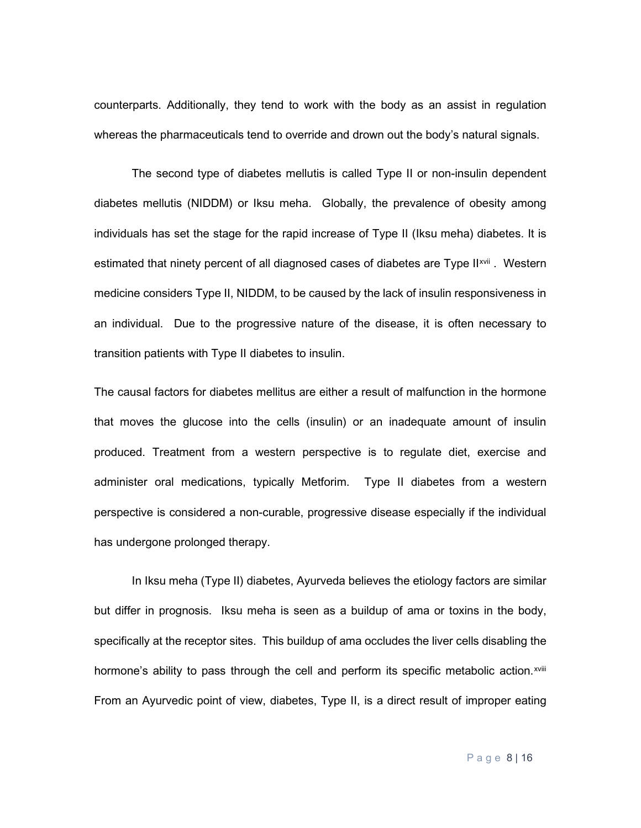counterparts. Additionally, they tend to work with the body as an assist in regulation whereas the pharmaceuticals tend to override and drown out the body's natural signals.

The second type of diabetes mellutis is called Type II or non-insulin dependent diabetes mellutis (NIDDM) or Iksu meha. Globally, the prevalence of obesity among individuals has set the stage for the rapid increase of Type II (Iksu meha) diabetes. It is estimated that ninety percent of all diagnosed cases of diabetes are Type II<sup>[xvii](#page-16-3)</sup>. Western medicine considers Type II, NIDDM, to be caused by the lack of insulin responsiveness in an individual. Due to the progressive nature of the disease, it is often necessary to transition patients with Type II diabetes to insulin.

The causal factors for diabetes mellitus are either a result of malfunction in the hormone that moves the glucose into the cells (insulin) or an inadequate amount of insulin produced. Treatment from a western perspective is to regulate diet, exercise and administer oral medications, typically Metforim. Type II diabetes from a western perspective is considered a non-curable, progressive disease especially if the individual has undergone prolonged therapy.

In Iksu meha (Type II) diabetes, Ayurveda believes the etiology factors are similar but differ in prognosis. Iksu meha is seen as a buildup of ama or toxins in the body, specifically at the receptor sites. This buildup of ama occludes the liver cells disabling the hormone's ability to pass through the cell and perform its specific metabolic action.<sup>xviii</sup> From an Ayurvedic point of view, diabetes, Type II, is a direct result of improper eating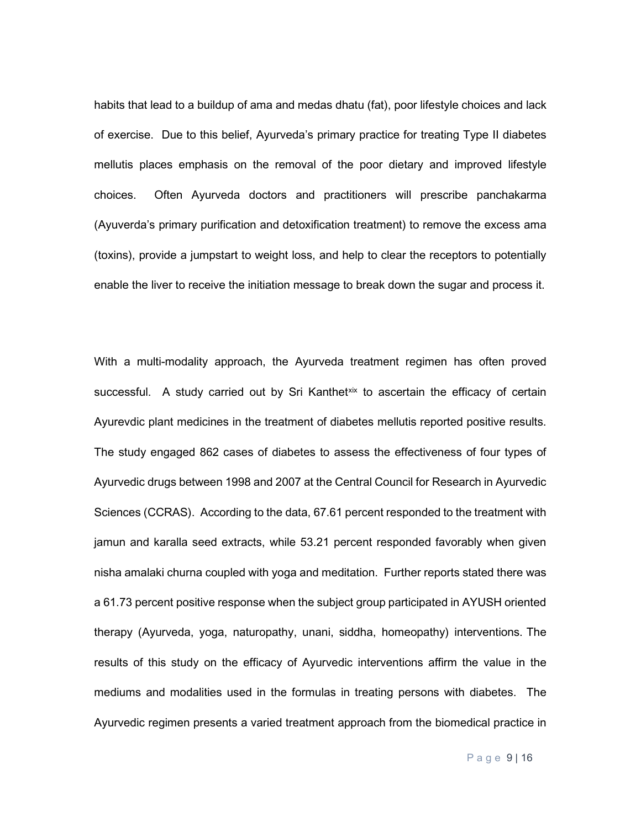habits that lead to a buildup of ama and medas dhatu (fat), poor lifestyle choices and lack of exercise. Due to this belief, Ayurveda's primary practice for treating Type II diabetes mellutis places emphasis on the removal of the poor dietary and improved lifestyle choices. Often Ayurveda doctors and practitioners will prescribe panchakarma (Ayuverda's primary purification and detoxification treatment) to remove the excess ama (toxins), provide a jumpstart to weight loss, and help to clear the receptors to potentially enable the liver to receive the initiation message to break down the sugar and process it.

With a multi-modality approach, the Ayurveda treatment regimen has often proved successful. A study carried out by Sri Kanthet[xix](#page-16-4) to ascertain the efficacy of certain Ayurevdic plant medicines in the treatment of diabetes mellutis reported positive results. The study engaged 862 cases of diabetes to assess the effectiveness of four types of Ayurvedic drugs between 1998 and 2007 at the Central Council for Research in Ayurvedic Sciences (CCRAS). According to the data, 67.61 percent responded to the treatment with jamun and karalla seed extracts, while 53.21 percent responded favorably when given nisha amalaki churna coupled with yoga and meditation. Further reports stated there was a 61.73 percent positive response when the subject group participated in AYUSH oriented therapy (Ayurveda, yoga, naturopathy, unani, siddha, homeopathy) interventions. The results of this study on the efficacy of Ayurvedic interventions affirm the value in the mediums and modalities used in the formulas in treating persons with diabetes. The Ayurvedic regimen presents a varied treatment approach from the biomedical practice in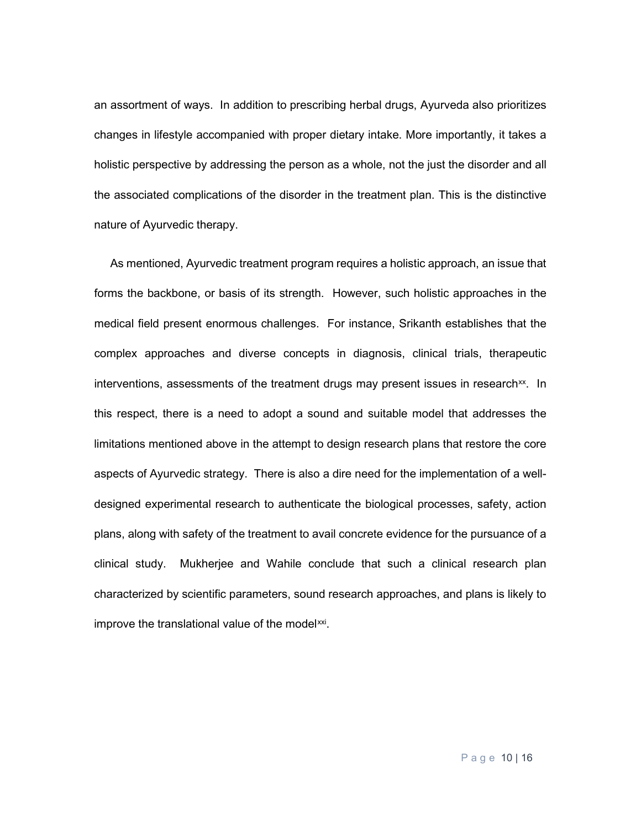an assortment of ways. In addition to prescribing herbal drugs, Ayurveda also prioritizes changes in lifestyle accompanied with proper dietary intake. More importantly, it takes a holistic perspective by addressing the person as a whole, not the just the disorder and all the associated complications of the disorder in the treatment plan. This is the distinctive nature of Ayurvedic therapy.

 As mentioned, Ayurvedic treatment program requires a holistic approach, an issue that forms the backbone, or basis of its strength. However, such holistic approaches in the medical field present enormous challenges. For instance, Srikanth establishes that the complex approaches and diverse concepts in diagnosis, clinical trials, therapeutic interventions, assessments of the treatment drugs may present issues in research<sup>xx</sup>. In this respect, there is a need to adopt a sound and suitable model that addresses the limitations mentioned above in the attempt to design research plans that restore the core aspects of Ayurvedic strategy. There is also a dire need for the implementation of a welldesigned experimental research to authenticate the biological processes, safety, action plans, along with safety of the treatment to avail concrete evidence for the pursuance of a clinical study. Mukherjee and Wahile conclude that such a clinical research plan characterized by scientific parameters, sound research approaches, and plans is likely to improve the translational value of the model[xxi.](#page-16-6)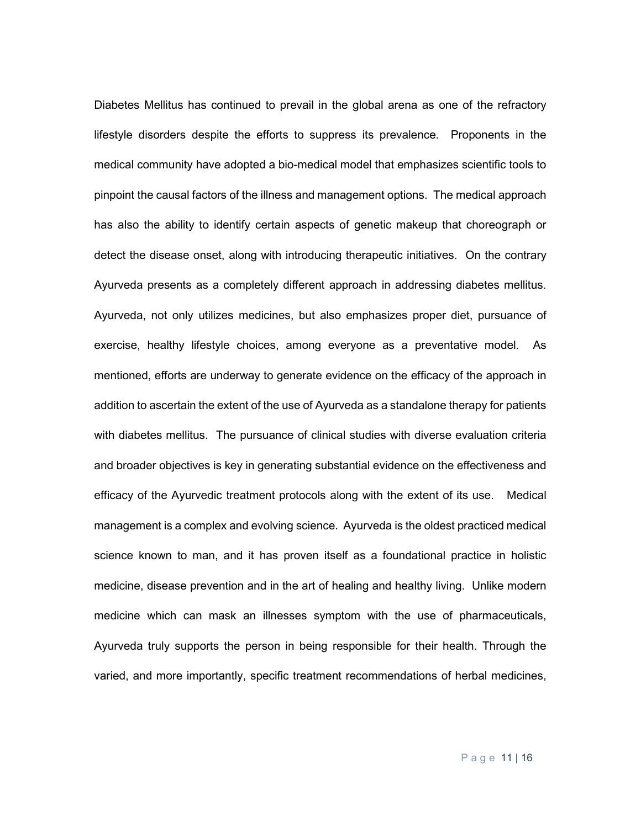Diabetes Mellitus has continued to prevail in the global arena as one of the refractory lifestyle disorders despite the efforts to suppress its prevalence. Proponents in the medical community have adopted a bio-medical model that emphasizes scientific tools to pinpoint the causal factors of the illness and management options. The medical approach has also the ability to identify certain aspects of genetic makeup that choreograph or detect the disease onset, along with introducing therapeutic initiatives. On the contrary Ayurveda presents as a completely different approach in addressing diabetes mellitus. Ayurveda, not only utilizes medicines, but also emphasizes proper diet, pursuance of exercise, healthy lifestyle choices, among everyone as a preventative model. As mentioned, efforts are underway to generate evidence on the efficacy of the approach in addition to ascertain the extent of the use of Ayurveda as a standalone therapy for patients with diabetes mellitus. The pursuance of clinical studies with diverse evaluation criteria and broader objectives is key in generating substantial evidence on the effectiveness and efficacy of the Ayurvedic treatment protocols along with the extent of its use. Medical management is a complex and evolving science. Ayurveda is the oldest practiced medical science known to man, and it has proven itself as a foundational practice in holistic medicine, disease prevention and in the art of healing and healthy living. Unlike modern medicine which can mask an illnesses symptom with the use of pharmaceuticals, Ayurveda truly supports the person in being responsible for their health. Through the varied, and more importantly, specific treatment recommendations of herbal medicines,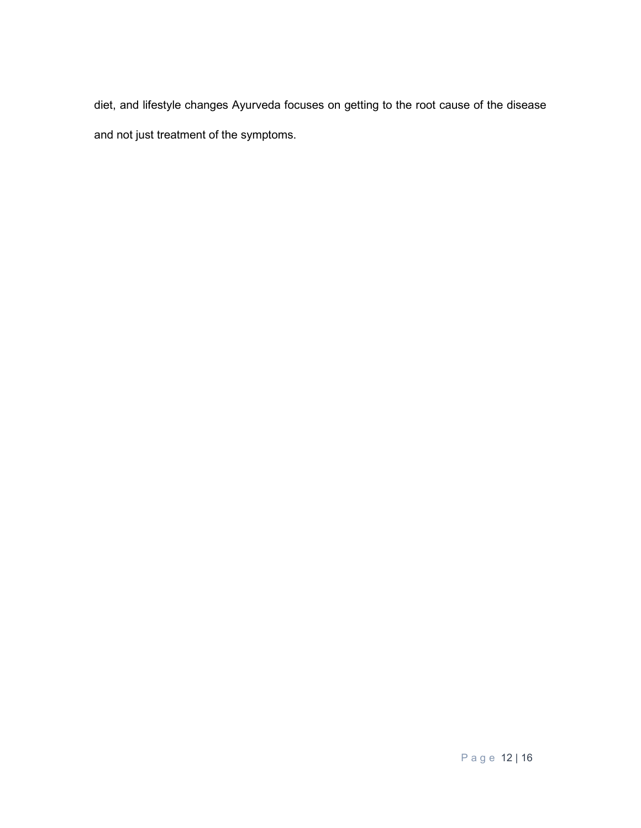diet, and lifestyle changes Ayurveda focuses on getting to the root cause of the disease and not just treatment of the symptoms.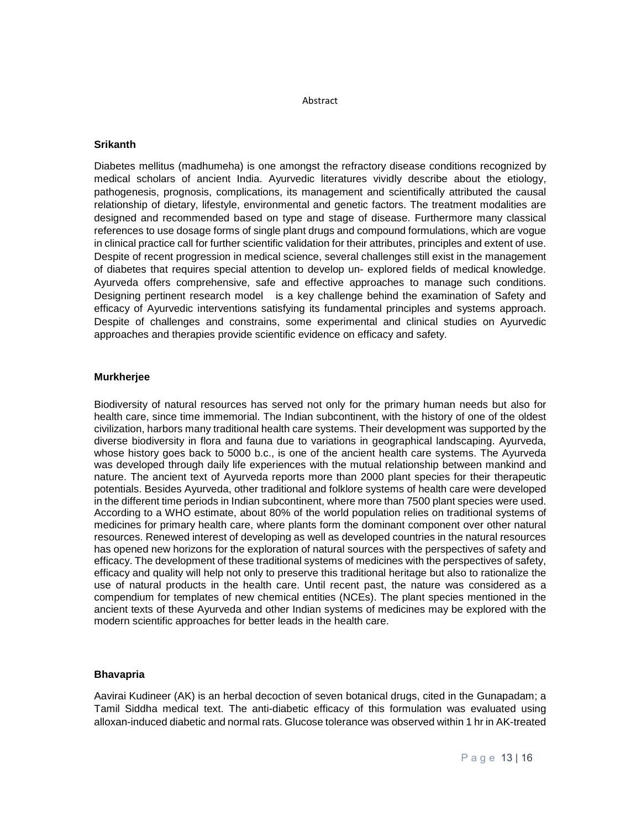#### Abstract

#### **Srikanth**

Diabetes mellitus (madhumeha) is one amongst the refractory disease conditions recognized by medical scholars of ancient India. Ayurvedic literatures vividly describe about the etiology, pathogenesis, prognosis, complications, its management and scientifically attributed the causal relationship of dietary, lifestyle, environmental and genetic factors. The treatment modalities are designed and recommended based on type and stage of disease. Furthermore many classical references to use dosage forms of single plant drugs and compound formulations, which are vogue in clinical practice call for further scientific validation for their attributes, principles and extent of use. Despite of recent progression in medical science, several challenges still exist in the management of diabetes that requires special attention to develop un- explored fields of medical knowledge. Ayurveda offers comprehensive, safe and effective approaches to manage such conditions. Designing pertinent research model is a key challenge behind the examination of Safety and efficacy of Ayurvedic interventions satisfying its fundamental principles and systems approach. Despite of challenges and constrains, some experimental and clinical studies on Ayurvedic approaches and therapies provide scientific evidence on efficacy and safety.

#### **Murkherjee**

Biodiversity of natural resources has served not only for the primary human needs but also for health care, since time immemorial. The Indian subcontinent, with the history of one of the oldest civilization, harbors many traditional health care systems. Their development was supported by the diverse biodiversity in flora and fauna due to variations in geographical landscaping. Ayurveda, whose history goes back to 5000 b.c., is one of the ancient health care systems. The Ayurveda was developed through daily life experiences with the mutual relationship between mankind and nature. The ancient text of Ayurveda reports more than 2000 plant species for their therapeutic potentials. Besides Ayurveda, other traditional and folklore systems of health care were developed in the different time periods in Indian subcontinent, where more than 7500 plant species were used. According to a WHO estimate, about 80% of the world population relies on traditional systems of medicines for primary health care, where plants form the dominant component over other natural resources. Renewed interest of developing as well as developed countries in the natural resources has opened new horizons for the exploration of natural sources with the perspectives of safety and efficacy. The development of these traditional systems of medicines with the perspectives of safety, efficacy and quality will help not only to preserve this traditional heritage but also to rationalize the use of natural products in the health care. Until recent past, the nature was considered as a compendium for templates of new chemical entities (NCEs). The plant species mentioned in the ancient texts of these Ayurveda and other Indian systems of medicines may be explored with the modern scientific approaches for better leads in the health care.

#### **Bhavapria**

Aavirai Kudineer (AK) is an herbal decoction of seven botanical drugs, cited in the Gunapadam; a Tamil Siddha medical text. The anti-diabetic efficacy of this formulation was evaluated using alloxan-induced diabetic and normal rats. Glucose tolerance was observed within 1 hr in AK-treated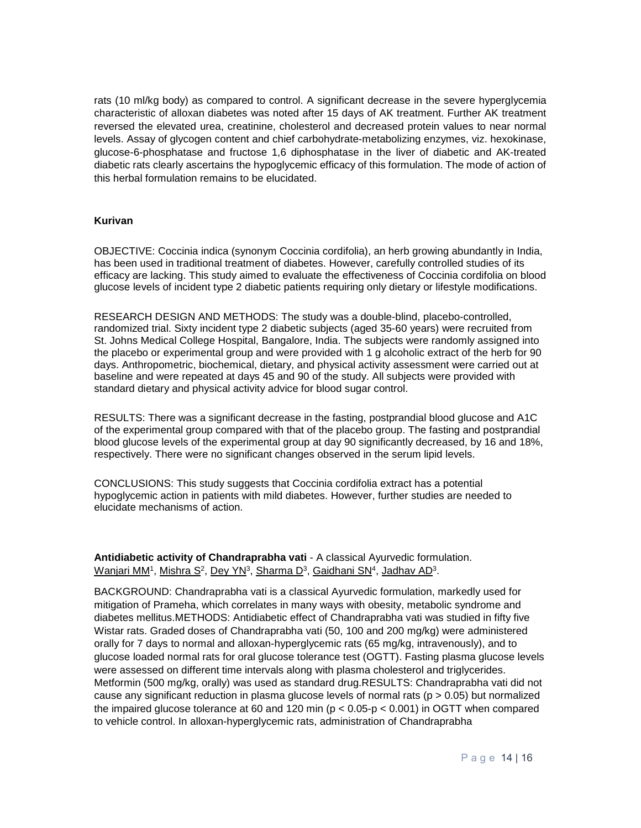rats (10 ml/kg body) as compared to control. A significant decrease in the severe hyperglycemia characteristic of alloxan diabetes was noted after 15 days of AK treatment. Further AK treatment reversed the elevated urea, creatinine, cholesterol and decreased protein values to near normal levels. Assay of glycogen content and chief carbohydrate-metabolizing enzymes, viz. hexokinase, glucose-6-phosphatase and fructose 1,6 diphosphatase in the liver of diabetic and AK-treated diabetic rats clearly ascertains the hypoglycemic efficacy of this formulation. The mode of action of this herbal formulation remains to be elucidated.

#### **Kurivan**

OBJECTIVE: Coccinia indica (synonym Coccinia cordifolia), an herb growing abundantly in India, has been used in traditional treatment of diabetes. However, carefully controlled studies of its efficacy are lacking. This study aimed to evaluate the effectiveness of Coccinia cordifolia on blood glucose levels of incident type 2 diabetic patients requiring only dietary or lifestyle modifications.

RESEARCH DESIGN AND METHODS: The study was a double-blind, placebo-controlled, randomized trial. Sixty incident type 2 diabetic subjects (aged 35-60 years) were recruited from St. Johns Medical College Hospital, Bangalore, India. The subjects were randomly assigned into the placebo or experimental group and were provided with 1 g alcoholic extract of the herb for 90 days. Anthropometric, biochemical, dietary, and physical activity assessment were carried out at baseline and were repeated at days 45 and 90 of the study. All subjects were provided with standard dietary and physical activity advice for blood sugar control.

RESULTS: There was a significant decrease in the fasting, postprandial blood glucose and A1C of the experimental group compared with that of the placebo group. The fasting and postprandial blood glucose levels of the experimental group at day 90 significantly decreased, by 16 and 18%, respectively. There were no significant changes observed in the serum lipid levels.

CONCLUSIONS: This study suggests that Coccinia cordifolia extract has a potential hypoglycemic action in patients with mild diabetes. However, further studies are needed to elucidate mechanisms of action.

**Antidiabetic activity of Chandraprabha vati** - A classical Ayurvedic formulation. Wanjari MM<sup>1</sup>, Mishra S<sup>2</sup>, Dey YN<sup>3</sup>, Sharma D<sup>3</sup>, Gaidhani SN<sup>4</sup>, Jadhav AD<sup>3</sup>.

BACKGROUND: Chandraprabha vati is a classical Ayurvedic formulation, markedly used for mitigation of Prameha, which correlates in many ways with obesity, metabolic syndrome and diabetes mellitus.METHODS: Antidiabetic effect of Chandraprabha vati was studied in fifty five Wistar rats. Graded doses of Chandraprabha vati (50, 100 and 200 mg/kg) were administered orally for 7 days to normal and alloxan-hyperglycemic rats (65 mg/kg, intravenously), and to glucose loaded normal rats for oral glucose tolerance test (OGTT). Fasting plasma glucose levels were assessed on different time intervals along with plasma cholesterol and triglycerides. Metformin (500 mg/kg, orally) was used as standard drug.RESULTS: Chandraprabha vati did not cause any significant reduction in plasma glucose levels of normal rats ( $p > 0.05$ ) but normalized the impaired glucose tolerance at 60 and 120 min ( $p < 0.05-p < 0.001$ ) in OGTT when compared to vehicle control. In alloxan-hyperglycemic rats, administration of Chandraprabha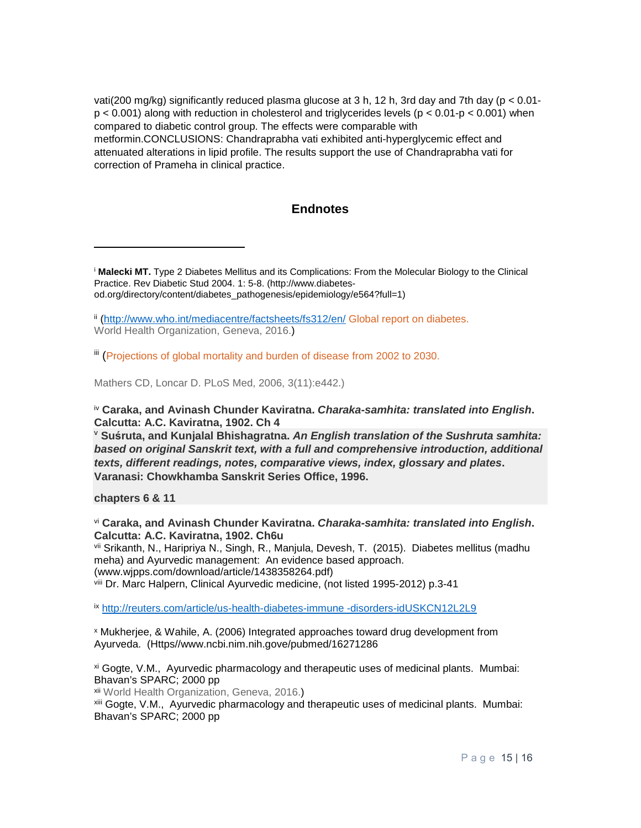vati(200 mg/kg) significantly reduced plasma glucose at 3 h, 12 h, 3rd day and 7th day (p < 0.01  $p < 0.001$ ) along with reduction in cholesterol and triglycerides levels ( $p < 0.01-p < 0.001$ ) when compared to diabetic control group. The effects were comparable with metformin.CONCLUSIONS: Chandraprabha vati exhibited anti-hyperglycemic effect and attenuated alterations in lipid profile. The results support the use of Chandraprabha vati for correction of Prameha in clinical practice.

### **Endnotes**

<span id="page-15-0"></span><sup>i</sup> **Malecki MT.** Type 2 Diabetes Mellitus and its Complications: From the Molecular Biology to the Clinical Practice. Rev Diabetic Stud 2004. 1: 5-8. (http://www.diabetesod.org/directory/content/diabetes\_pathogenesis/epidemiology/e564?full=1)

<span id="page-15-1"></span>ii [\(http://www.who.int/mediacentre/factsheets/fs312/en/](http://www.who.int/mediacentre/factsheets/fs312/en/) Global report on [diabetes.](http://www.who.int/diabetes/global-report) World Health Organization, Geneva, 2016.)

<span id="page-15-2"></span>iii [\(Projections](http://journals.plos.org/plosmedicine/article?id=10.1371/journal.pmed.0030442) of global mortality and burden of disease from 2002 to 2030.

Mathers CD, Loncar D. PLoS Med, 2006, 3(11):e442.)

<span id="page-15-3"></span>iv **Caraka, and Avinash Chunder Kaviratna.** *Charaka-samhita: translated into English***. Calcutta: A.C. Kaviratna, 1902. Ch 4**

<span id="page-15-4"></span><sup>v</sup> **Suś ruta, and Kunjalal Bhishagratna.** *An English translation of the Sushruta samhita: based on original Sanskrit text, with a full and comprehensive introduction, additional texts, different readings, notes, comparative views, index, glossary and plates***. Varanasi: Chowkhamba Sanskrit Series Office, 1996.** 

**chapters 6 & 11**

 $\overline{a}$ 

<span id="page-15-5"></span>vi **Caraka, and Avinash Chunder Kaviratna.** *Charaka-samhita: translated into English***. Calcutta: A.C. Kaviratna, 1902. Ch6u**

<span id="page-15-6"></span>vii Srikanth, N., Haripriya N., Singh, R., Manjula, Devesh, T. (2015). Diabetes mellitus (madhu meha) and Ayurvedic management: An evidence based approach. (www.wjpps.com/download/article/1438358264.pdf)

<span id="page-15-7"></span>viii Dr. Marc Halpern, Clinical Ayurvedic medicine, (not listed 1995-2012) p.3-41

<span id="page-15-8"></span>ix [http://reuters.com/article/us-health-diabetes-immune -disorders-idUSKCN12L2L9](http://reuters.com/article/us-health-diabetes-immune%20-disorders-idUSKCN12L2L9)

<span id="page-15-9"></span><sup>x</sup> Mukherjee, & Wahile, A. (2006) Integrated approaches toward drug development from Ayurveda. (Https//www.ncbi.nim.nih.gove/pubmed/16271286

<span id="page-15-10"></span>xi Gogte, V.M., Ayurvedic pharmacology and therapeutic uses of medicinal plants. Mumbai: Bhavan's SPARC; 2000 pp

<span id="page-15-12"></span><span id="page-15-11"></span>xii World Health Organization, Geneva, 2016.)

xiii Gogte, V.M., Ayurvedic pharmacology and therapeutic uses of medicinal plants. Mumbai: Bhavan's SPARC; 2000 pp